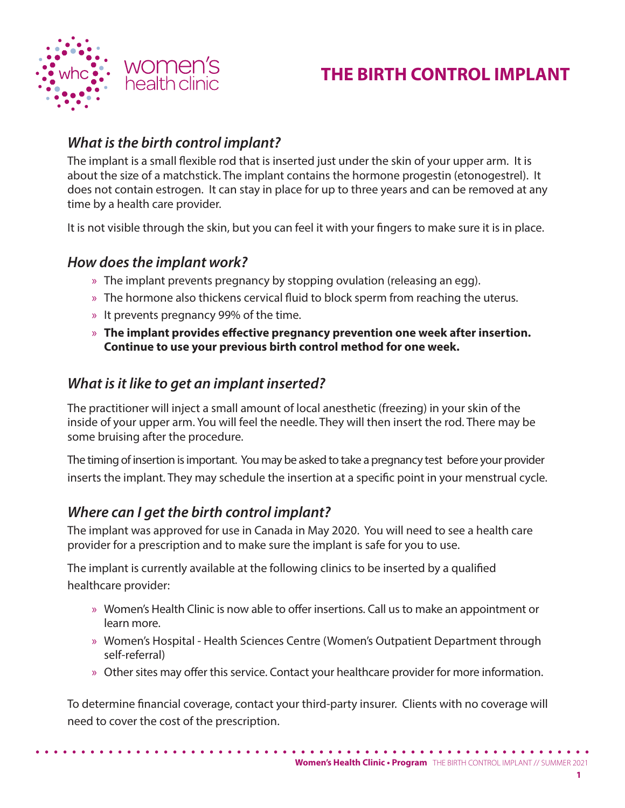

# **THE BIRTH CONTROL IMPLANT**

# *What is the birth control implant?*

The implant is a small flexible rod that is inserted just under the skin of your upper arm. It is about the size of a matchstick. The implant contains the hormone progestin (etonogestrel). It does not contain estrogen. It can stay in place for up to three years and can be removed at any time by a health care provider.

It is not visible through the skin, but you can feel it with your fingers to make sure it is in place.

## *How does the implant work?*

- » The implant prevents pregnancy by stopping ovulation (releasing an egg).
- » The hormone also thickens cervical fluid to block sperm from reaching the uterus.
- » It prevents pregnancy 99% of the time.
- » **The implant provides effective pregnancy prevention one week after insertion. Continue to use your previous birth control method for one week.**

## *What is it like to get an implant inserted?*

The practitioner will inject a small amount of local anesthetic (freezing) in your skin of the inside of your upper arm. You will feel the needle. They will then insert the rod. There may be some bruising after the procedure.

The timing of insertion is important. You may be asked to take a pregnancy test before your provider inserts the implant. They may schedule the insertion at a specific point in your menstrual cycle.

# *Where can I get the birth control implant?*

The implant was approved for use in Canada in May 2020. You will need to see a health care provider for a prescription and to make sure the implant is safe for you to use.

The implant is currently available at the following clinics to be inserted by a qualified healthcare provider:

- » Women's Health Clinic is now able to offer insertions. Call us to make an appointment or learn more.
- » Women's Hospital Health Sciences Centre (Women's Outpatient Department through self-referral)
- » Other sites may offer this service. Contact your healthcare provider for more information.

To determine financial coverage, contact your third-party insurer. Clients with no coverage will need to cover the cost of the prescription.